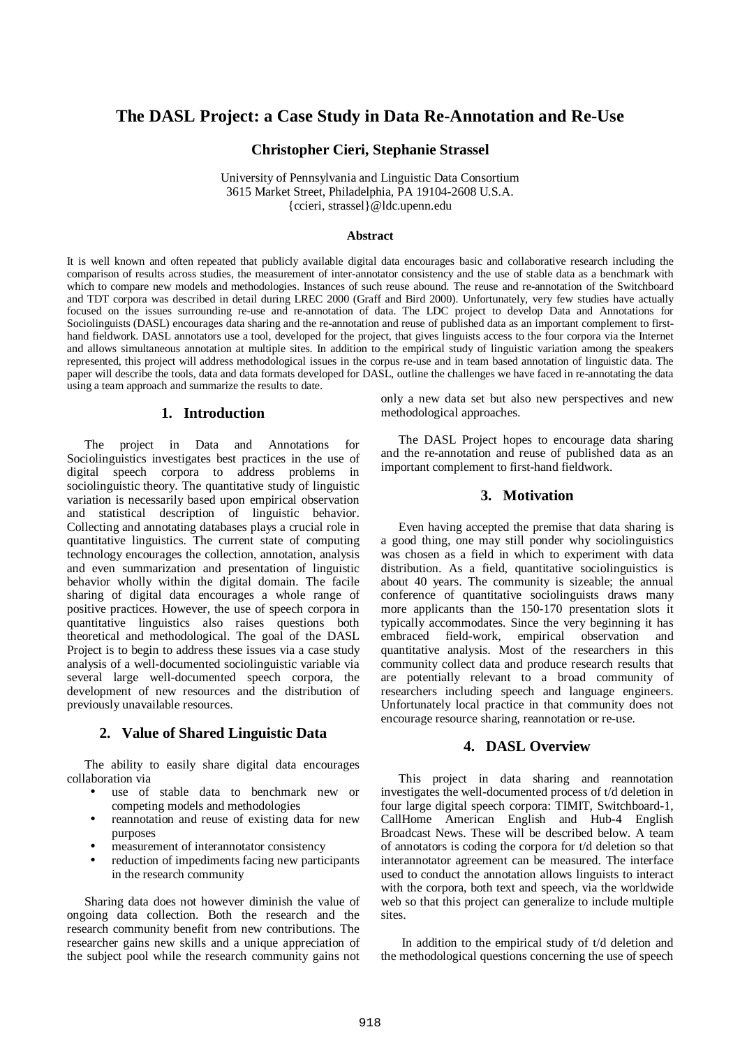# **The DASL Project: a Case Study in Data Re-Annotation and Re-Use**

## **Christopher Cieri, Stephanie Strassel**

University of Pennsylvania and Linguistic Data Consortium 3615 Market Street, Philadelphia, PA 19104-2608 U.S.A. {ccieri, strassel}@ldc.upenn.edu

#### **Abstract**

It is well known and often repeated that publicly available digital data encourages basic and collaborative research including the comparison of results across studies, the measurement of inter-annotator consistency and the use of stable data as a benchmark with which to compare new models and methodologies. Instances of such reuse abound. The reuse and re-annotation of the Switchboard and TDT corpora was described in detail during LREC 2000 (Graff and Bird 2000). Unfortunately, very few studies have actually focused on the issues surrounding re-use and re-annotation of data. The LDC project to develop Data and Annotations for Sociolinguists (DASL) encourages data sharing and the re-annotation and reuse of published data as an important complement to firsthand fieldwork. DASL annotators use a tool, developed for the project, that gives linguists access to the four corpora via the Internet and allows simultaneous annotation at multiple sites. In addition to the empirical study of linguistic variation among the speakers represented, this project will address methodological issues in the corpus re-use and in team based annotation of linguistic data. The paper will describe the tools, data and data formats developed for DASL, outline the challenges we have faced in re-annotating the data using a team approach and summarize the results to date.

### **1. Introduction**

The project in Data and Annotations for Sociolinguistics investigates best practices in the use of digital speech corpora to address problems in sociolinguistic theory. The quantitative study of linguistic variation is necessarily based upon empirical observation and statistical description of linguistic behavior. Collecting and annotating databases plays a crucial role in quantitative linguistics. The current state of computing technology encourages the collection, annotation, analysis and even summarization and presentation of linguistic behavior wholly within the digital domain. The facile sharing of digital data encourages a whole range of positive practices. However, the use of speech corpora in quantitative linguistics also raises questions both theoretical and methodological. The goal of the DASL Project is to begin to address these issues via a case study analysis of a well-documented sociolinguistic variable via several large well-documented speech corpora, the development of new resources and the distribution of previously unavailable resources.

### **2. Value of Shared Linguistic Data**

The ability to easily share digital data encourages collaboration via

- use of stable data to benchmark new or competing models and methodologies
- reannotation and reuse of existing data for new purposes
- measurement of interannotator consistency
- reduction of impediments facing new participants in the research community

Sharing data does not however diminish the value of ongoing data collection. Both the research and the research community benefit from new contributions. The researcher gains new skills and a unique appreciation of the subject pool while the research community gains not

only a new data set but also new perspectives and new methodological approaches.

The DASL Project hopes to encourage data sharing and the re-annotation and reuse of published data as an important complement to first-hand fieldwork.

## **3. Motivation**

Even having accepted the premise that data sharing is a good thing, one may still ponder why sociolinguistics was chosen as a field in which to experiment with data distribution. As a field, quantitative sociolinguistics is about 40 years. The community is sizeable; the annual conference of quantitative sociolinguists draws many more applicants than the 150-170 presentation slots it typically accommodates. Since the very beginning it has embraced field-work, empirical observation and quantitative analysis. Most of the researchers in this community collect data and produce research results that are potentially relevant to a broad community of researchers including speech and language engineers. Unfortunately local practice in that community does not encourage resource sharing, reannotation or re-use.

#### **4. DASL Overview**

This project in data sharing and reannotation investigates the well-documented process of t/d deletion in four large digital speech corpora: TIMIT, Switchboard-1, CallHome American English and Hub-4 English Broadcast News. These will be described below. A team of annotators is coding the corpora for t/d deletion so that interannotator agreement can be measured. The interface used to conduct the annotation allows linguists to interact with the corpora, both text and speech, via the worldwide web so that this project can generalize to include multiple sites.

In addition to the empirical study of t/d deletion and the methodological questions concerning the use of speech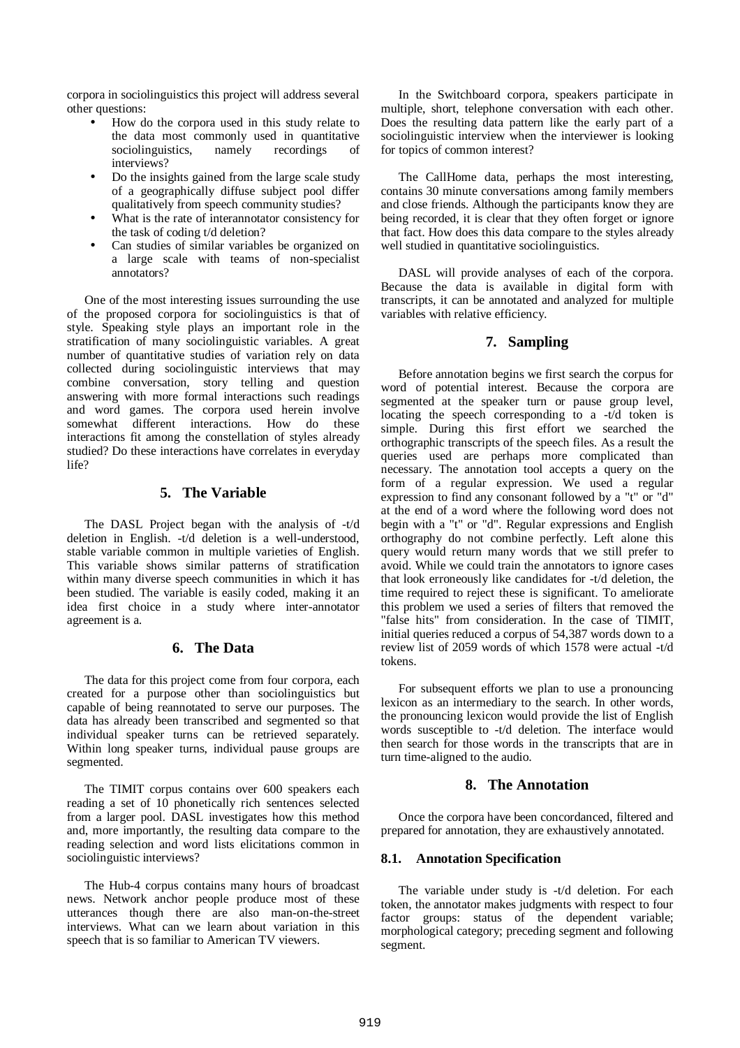corpora in sociolinguistics this project will address several other questions:

- How do the corpora used in this study relate to the data most commonly used in quantitative sociolinguistics, namely recordings interviews?
- Do the insights gained from the large scale study of a geographically diffuse subject pool differ qualitatively from speech community studies?
- What is the rate of interannotator consistency for the task of coding t/d deletion?
- Can studies of similar variables be organized on a large scale with teams of non-specialist annotators?

One of the most interesting issues surrounding the use of the proposed corpora for sociolinguistics is that of style. Speaking style plays an important role in the stratification of many sociolinguistic variables. A great number of quantitative studies of variation rely on data collected during sociolinguistic interviews that may combine conversation, story telling and question answering with more formal interactions such readings and word games. The corpora used herein involve somewhat different interactions. How do these interactions fit among the constellation of styles already studied? Do these interactions have correlates in everyday life?

## **5. The Variable**

The DASL Project began with the analysis of -t/d deletion in English. -t/d deletion is a well-understood, stable variable common in multiple varieties of English. This variable shows similar patterns of stratification within many diverse speech communities in which it has been studied. The variable is easily coded, making it an idea first choice in a study where inter-annotator agreement is a.

# **6. The Data**

The data for this project come from four corpora, each created for a purpose other than sociolinguistics but capable of being reannotated to serve our purposes. The data has already been transcribed and segmented so that individual speaker turns can be retrieved separately. Within long speaker turns, individual pause groups are segmented.

The TIMIT corpus contains over 600 speakers each reading a set of 10 phonetically rich sentences selected from a larger pool. DASL investigates how this method and, more importantly, the resulting data compare to the reading selection and word lists elicitations common in sociolinguistic interviews?

The Hub-4 corpus contains many hours of broadcast news. Network anchor people produce most of these utterances though there are also man-on-the-street interviews. What can we learn about variation in this speech that is so familiar to American TV viewers.

In the Switchboard corpora, speakers participate in multiple, short, telephone conversation with each other. Does the resulting data pattern like the early part of a sociolinguistic interview when the interviewer is looking for topics of common interest?

The CallHome data, perhaps the most interesting, contains 30 minute conversations among family members and close friends. Although the participants know they are being recorded, it is clear that they often forget or ignore that fact. How does this data compare to the styles already well studied in quantitative sociolinguistics.

DASL will provide analyses of each of the corpora. Because the data is available in digital form with transcripts, it can be annotated and analyzed for multiple variables with relative efficiency.

## **7. Sampling**

Before annotation begins we first search the corpus for word of potential interest. Because the corpora are segmented at the speaker turn or pause group level, locating the speech corresponding to a -t/d token is simple. During this first effort we searched the orthographic transcripts of the speech files. As a result the queries used are perhaps more complicated than necessary. The annotation tool accepts a query on the form of a regular expression. We used a regular expression to find any consonant followed by a "t" or "d" at the end of a word where the following word does not begin with a "t" or "d". Regular expressions and English orthography do not combine perfectly. Left alone this query would return many words that we still prefer to avoid. While we could train the annotators to ignore cases that look erroneously like candidates for -t/d deletion, the time required to reject these is significant. To ameliorate this problem we used a series of filters that removed the "false hits" from consideration. In the case of TIMIT, initial queries reduced a corpus of 54,387 words down to a review list of 2059 words of which 1578 were actual -t/d tokens.

For subsequent efforts we plan to use a pronouncing lexicon as an intermediary to the search. In other words, the pronouncing lexicon would provide the list of English words susceptible to -t/d deletion. The interface would then search for those words in the transcripts that are in turn time-aligned to the audio.

## **8. The Annotation**

Once the corpora have been concordanced, filtered and prepared for annotation, they are exhaustively annotated.

## **8.1. Annotation Specification**

The variable under study is -t/d deletion. For each token, the annotator makes judgments with respect to four factor groups: status of the dependent variable; morphological category; preceding segment and following segment.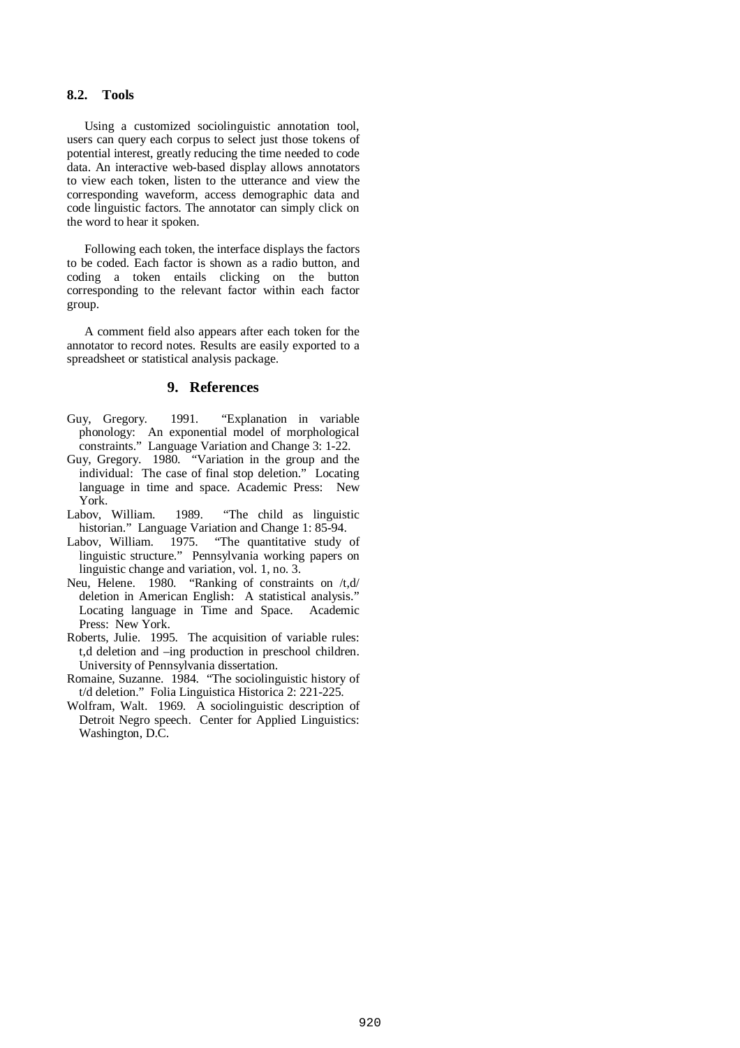## **8.2. Tools**

Using a customized sociolinguistic annotation tool, users can query each corpus to select just those tokens of potential interest, greatly reducing the time needed to code data. An interactive web-based display allows annotators to view each token, listen to the utterance and view the corresponding waveform, access demographic data and code linguistic factors. The annotator can simply click on the word to hear it spoken.

Following each token, the interface displays the factors to be coded. Each factor is shown as a radio button, and coding a token entails clicking on the button corresponding to the relevant factor within each factor group.

A comment field also appears after each token for the annotator to record notes. Results are easily exported to a spreadsheet or statistical analysis package.

### **9. References**

- Guy, Gregory. 1991. "Explanation in variable phonology: An exponential model of morphological constraints." Language Variation and Change 3: 1-22.
- Guy, Gregory. 1980. "Variation in the group and the individual: The case of final stop deletion." Locating language in time and space. Academic Press: New York.<br>Labov, William.
- 1989. "The child as linguistic historian." Language Variation and Change 1: 85-94.<br>Labov, William. 1975. "The quantitative study
- "The quantitative study of linguistic structure." Pennsylvania working papers on linguistic change and variation, vol. 1, no. 3.
- Neu, Helene. 1980. "Ranking of constraints on /t,d/ deletion in American English: A statistical analysis." Locating language in Time and Space. Academic Press: New York.
- Roberts, Julie. 1995. The acquisition of variable rules: t,d deletion and –ing production in preschool children. University of Pennsylvania dissertation.
- Romaine, Suzanne. 1984. "The sociolinguistic history of t/d deletion." Folia Linguistica Historica 2: 221-225.
- Wolfram, Walt. 1969. A sociolinguistic description of Detroit Negro speech. Center for Applied Linguistics: Washington, D.C.